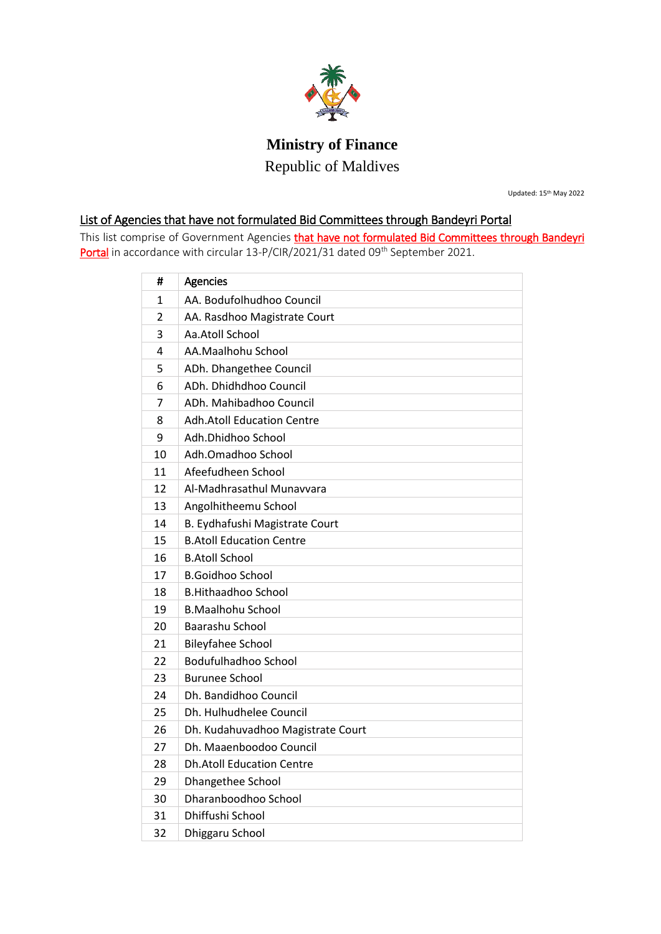

## **Ministry of Finance**

Republic of Maldives

Updated: 15th May 2022

## List of Agencies that have not formulated Bid Committees through Bandeyri Portal

This list comprise of Government Agencies that have not formulated Bid Committees through Bandeyri Portal in accordance with circular 13-P/CIR/2021/31 dated 09<sup>th</sup> September 2021.

| #              | Agencies                          |
|----------------|-----------------------------------|
| 1              | AA. Bodufolhudhoo Council         |
| $\overline{2}$ | AA. Rasdhoo Magistrate Court      |
| 3              | Aa.Atoll School                   |
| 4              | AA.Maalhohu School                |
| 5              | ADh. Dhangethee Council           |
| 6              | ADh. Dhidhdhoo Council            |
| 7              | ADh. Mahibadhoo Council           |
| 8              | <b>Adh.Atoll Education Centre</b> |
| 9              | Adh.Dhidhoo School                |
| 10             | Adh.Omadhoo School                |
| 11             | Afeefudheen School                |
| 12             | Al-Madhrasathul Munavyara         |
| 13             | Angolhitheemu School              |
| 14             | B. Eydhafushi Magistrate Court    |
| 15             | <b>B.Atoll Education Centre</b>   |
| 16             | <b>B.Atoll School</b>             |
| 17             | <b>B.Goidhoo School</b>           |
| 18             | <b>B.Hithaadhoo School</b>        |
| 19             | <b>B.Maalhohu School</b>          |
| 20             | Baarashu School                   |
| 21             | <b>Bileyfahee School</b>          |
| 22             | <b>Bodufulhadhoo School</b>       |
| 23             | <b>Burunee School</b>             |
| 24             | Dh. Bandidhoo Council             |
| 25             | Dh. Hulhudhelee Council           |
| 26             | Dh. Kudahuvadhoo Magistrate Court |
| 27             | Dh. Maaenboodoo Council           |
| 28             | <b>Dh.Atoll Education Centre</b>  |
| 29             | Dhangethee School                 |
| 30             | Dharanboodhoo School              |
| 31             | Dhiffushi School                  |
| 32             | Dhiggaru School                   |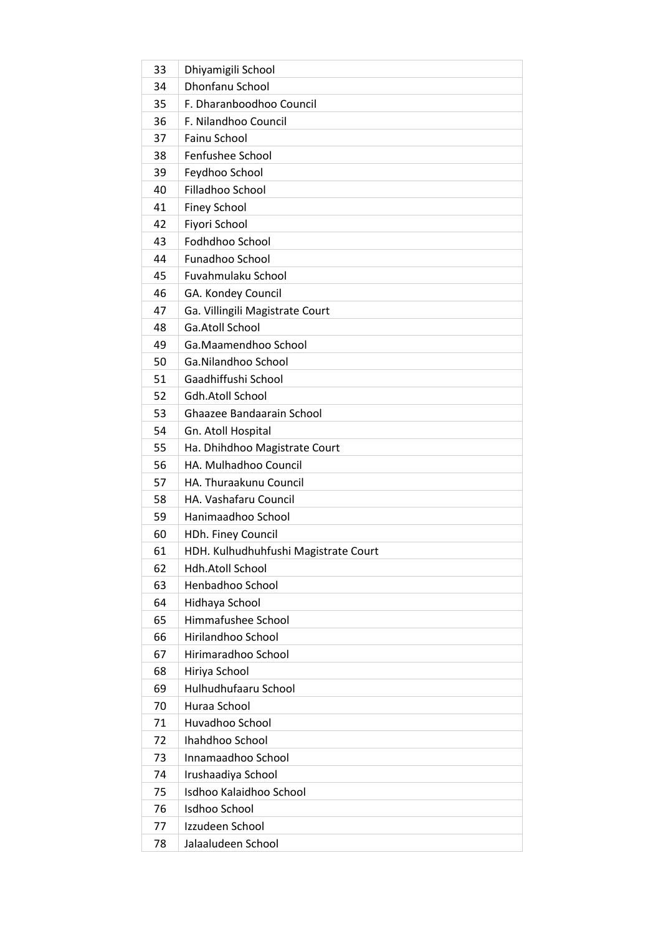| 33 | Dhiyamigili School                   |
|----|--------------------------------------|
| 34 | Dhonfanu School                      |
| 35 | F. Dharanboodhoo Council             |
| 36 | F. Nilandhoo Council                 |
| 37 | Fainu School                         |
| 38 | Fenfushee School                     |
| 39 | Feydhoo School                       |
| 40 | Filladhoo School                     |
| 41 | <b>Finey School</b>                  |
| 42 | Fiyori School                        |
| 43 | Fodhdhoo School                      |
| 44 | Funadhoo School                      |
| 45 | Fuvahmulaku School                   |
| 46 | GA. Kondey Council                   |
| 47 | Ga. Villingili Magistrate Court      |
| 48 | Ga.Atoll School                      |
| 49 | Ga.Maamendhoo School                 |
| 50 | Ga.Nilandhoo School                  |
| 51 | Gaadhiffushi School                  |
| 52 | Gdh.Atoll School                     |
| 53 | Ghaazee Bandaarain School            |
| 54 | Gn. Atoll Hospital                   |
| 55 | Ha. Dhihdhoo Magistrate Court        |
| 56 | HA. Mulhadhoo Council                |
| 57 | HA. Thuraakunu Council               |
| 58 | HA. Vashafaru Council                |
| 59 | Hanimaadhoo School                   |
| 60 | HDh. Finey Council                   |
| 61 | HDH. Kulhudhuhfushi Magistrate Court |
| 62 | <b>Hdh.Atoll School</b>              |
| 63 | Henbadhoo School                     |
| 64 | Hidhaya School                       |
| 65 | Himmafushee School                   |
| 66 | Hirilandhoo School                   |
| 67 | Hirimaradhoo School                  |
| 68 | Hiriya School                        |
| 69 | Hulhudhufaaru School                 |
| 70 | Huraa School                         |
| 71 | Huvadhoo School                      |
| 72 | Ihahdhoo School                      |
| 73 | Innamaadhoo School                   |
| 74 | Irushaadiya School                   |
| 75 | Isdhoo Kalaidhoo School              |
| 76 | Isdhoo School                        |
| 77 | Izzudeen School                      |
| 78 | Jalaaludeen School                   |
|    |                                      |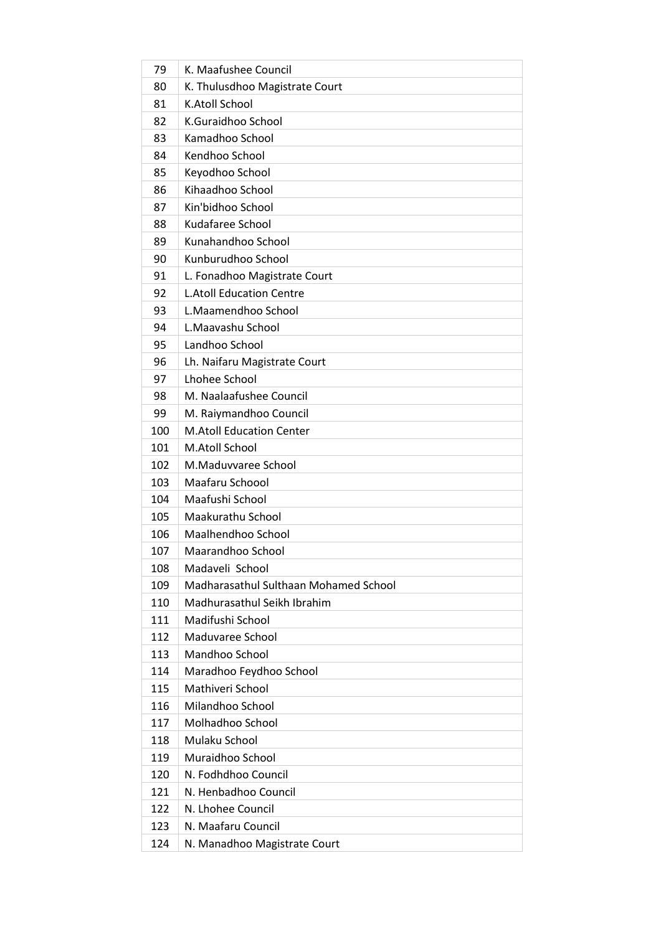| 79  | K. Maafushee Council                  |
|-----|---------------------------------------|
| 80  | K. Thulusdhoo Magistrate Court        |
| 81  | K.Atoll School                        |
| 82  | K.Guraidhoo School                    |
| 83  | Kamadhoo School                       |
| 84  | Kendhoo School                        |
| 85  | Keyodhoo School                       |
| 86  | Kihaadhoo School                      |
| 87  | Kin'bidhoo School                     |
| 88  | Kudafaree School                      |
| 89  | Kunahandhoo School                    |
| 90  | Kunburudhoo School                    |
| 91  | L. Fonadhoo Magistrate Court          |
| 92  | <b>L.Atoll Education Centre</b>       |
| 93  | L.Maamendhoo School                   |
| 94  | L.Maavashu School                     |
| 95  | Landhoo School                        |
| 96  | Lh. Naifaru Magistrate Court          |
| 97  | Lhohee School                         |
| 98  | M. Naalaafushee Council               |
| 99  | M. Raiymandhoo Council                |
| 100 | <b>M.Atoll Education Center</b>       |
| 101 | M.Atoll School                        |
| 102 | M.Maduvvaree School                   |
| 103 | Maafaru Schoool                       |
| 104 | Maafushi School                       |
| 105 | Maakurathu School                     |
| 106 | Maalhendhoo School                    |
| 107 | Maarandhoo School                     |
| 108 | Madaveli School                       |
| 109 | Madharasathul Sulthaan Mohamed School |
| 110 | Madhurasathul Seikh Ibrahim           |
| 111 | Madifushi School                      |
| 112 | Maduvaree School                      |
| 113 | Mandhoo School                        |
| 114 | Maradhoo Feydhoo School               |
| 115 | Mathiveri School                      |
| 116 | Milandhoo School                      |
| 117 | Molhadhoo School                      |
| 118 | Mulaku School                         |
| 119 | Muraidhoo School                      |
| 120 | N. Fodhdhoo Council                   |
| 121 | N. Henbadhoo Council                  |
| 122 | N. Lhohee Council                     |
| 123 | N. Maafaru Council                    |
| 124 | N. Manadhoo Magistrate Court          |